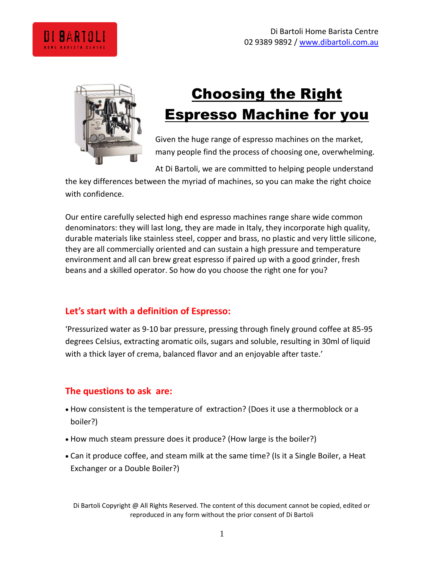



# Choosing the Right Espresso Machine for you

Given the huge range of espresso machines on the market, many people find the process of choosing one, overwhelming.

At Di Bartoli, we are committed to helping people understand

the key differences between the myriad of machines, so you can make the right choice with confidence.

Our entire carefully selected high end espresso machines range share wide common denominators: they will last long, they are made in Italy, they incorporate high quality, durable materials like stainless steel, copper and brass, no plastic and very little silicone, they are all commercially oriented and can sustain a high pressure and temperature environment and all can brew great espresso if paired up with a good grinder, fresh beans and a skilled operator. So how do you choose the right one for you?

## **Let's start with a definition of Espresso:**

'Pressurized water as 9-10 bar pressure, pressing through finely ground coffee at 85-95 degrees Celsius, extracting aromatic oils, sugars and soluble, resulting in 30ml of liquid with a thick layer of crema, balanced flavor and an enjoyable after taste.'

# **The questions to ask are:**

- How consistent is the temperature of extraction? (Does it use a thermoblock or a boiler?)
- How much steam pressure does it produce? (How large is the boiler?)
- Can it produce coffee, and steam milk at the same time? (Is it a Single Boiler, a Heat Exchanger or a Double Boiler?)

Di Bartoli Copyright @ All Rights Reserved. The content of this document cannot be copied, edited or reproduced in any form without the prior consent of Di Bartoli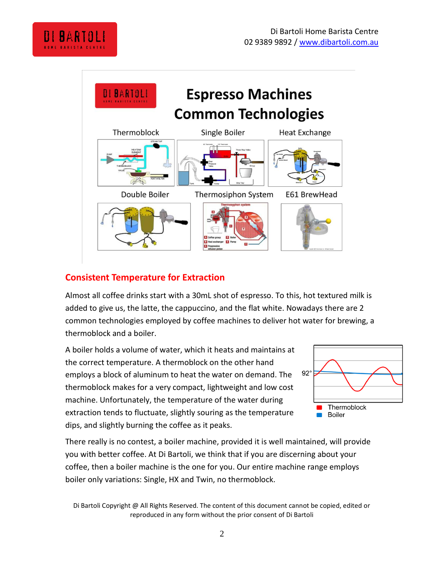



## **Consistent Temperature for Extraction**

Almost all coffee drinks start with a 30mL shot of espresso. To this, hot textured milk is added to give us, the latte, the cappuccino, and the flat white. Nowadays there are 2 common technologies employed by coffee machines to deliver hot water for brewing, a thermoblock and a boiler.

A boiler holds a volume of water, which it heats and maintains at the correct temperature. A thermoblock on the other hand employs a block of aluminum to heat the water on demand. The thermoblock makes for a very compact, lightweight and low cost machine. Unfortunately, the temperature of the water during extraction tends to fluctuate, slightly souring as the temperature dips, and slightly burning the coffee as it peaks.



There really is no contest, a boiler machine, provided it is well maintained, will provide you with better coffee. At Di Bartoli, we think that if you are discerning about your coffee, then a boiler machine is the one for you. Our entire machine range employs boiler only variations: Single, HX and Twin, no thermoblock.

Di Bartoli Copyright @ All Rights Reserved. The content of this document cannot be copied, edited or reproduced in any form without the prior consent of Di Bartoli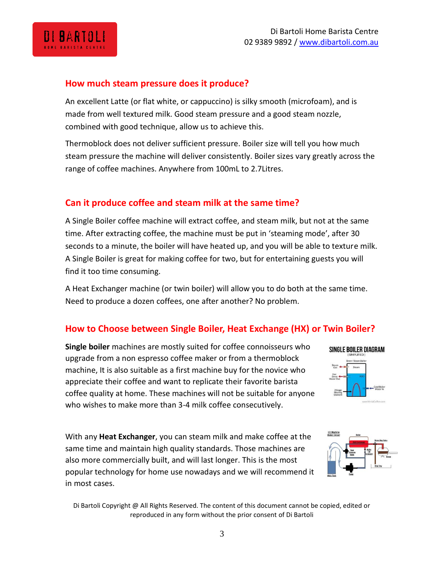### **How much steam pressure does it produce?**

An excellent Latte (or flat white, or cappuccino) is silky smooth (microfoam), and is made from well textured milk. Good steam pressure and a good steam nozzle, combined with good technique, allow us to achieve this.

Thermoblock does not deliver sufficient pressure. Boiler size will tell you how much steam pressure the machine will deliver consistently. Boiler sizes vary greatly across the range of coffee machines. Anywhere from 100mL to 2.7Litres.

#### **Can it produce coffee and steam milk at the same time?**

A Single Boiler coffee machine will extract coffee, and steam milk, but not at the same time. After extracting coffee, the machine must be put in 'steaming mode', after 30 seconds to a minute, the boiler will have heated up, and you will be able to texture milk. A Single Boiler is great for making coffee for two, but for entertaining guests you will find it too time consuming.

A Heat Exchanger machine (or twin boiler) will allow you to do both at the same time. Need to produce a dozen coffees, one after another? No problem.

### **How to Choose between Single Boiler, Heat Exchange (HX) or Twin Boiler?**

**Single boiler** machines are mostly suited for coffee connoisseurs who upgrade from a non espresso coffee maker or from a thermoblock machine, It is also suitable as a first machine buy for the novice who appreciate their coffee and want to replicate their favorite barista coffee quality at home. These machines will not be suitable for anyone who wishes to make more than 3-4 milk coffee consecutively.

SINGLE BOILER DIAGRAM

With any **Heat Exchanger**, you can steam milk and make coffee at the same time and maintain high quality standards. Those machines are also more commercially built, and will last longer. This is the most popular technology for home use nowadays and we will recommend it in most cases.



Di Bartoli Copyright @ All Rights Reserved. The content of this document cannot be copied, edited or reproduced in any form without the prior consent of Di Bartoli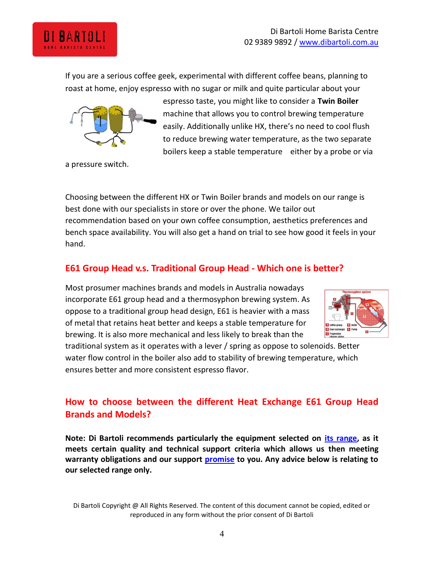If you are a serious coffee geek, experimental with different coffee beans, planning to roast at home, enjoy espresso with no sugar or milk and quite particular about your



a pressure switch.

Choosing between the different HX or Twin Boiler brands and models on our range is best done with our specialists in store or over the phone. We tailor out recommendation based on your own coffee consumption, aesthetics preferences and bench space availability. You will also get a hand on trial to see how good it feels in your hand.

## **E61 Group Head v.s. Traditional Group Head - Which one is better?**

Most prosumer machines brands and models in Australia nowadays incorporate E61 group head and a thermosyphon brewing system. As oppose to a traditional group head design, E61 is heavier with a mass of metal that retains heat better and keeps a stable temperature for brewing. It is also more mechanical and less likely to break than the



traditional system as it operates with a lever / spring as oppose to solenoids. Better water flow control in the boiler also add to stability of brewing temperature, which ensures better and more consistent espresso flavor.

## **How to choose between the different Heat Exchange E61 Group Head Brands and Models?**

**Note: Di Bartoli recommends particularly the equipment selected on [its range,](http://dibartoli.com.au/espresso-equipment/?sort=priceasc) as it meets certain quality and technical support criteria which allows us then meeting warranty obligations and our support [promise](http://dibartoli.com.au/the-di-bartoli-promise/) to you. Any advice below is relating to our selected range only.**

Di Bartoli Copyright @ All Rights Reserved. The content of this document cannot be copied, edited or reproduced in any form without the prior consent of Di Bartoli